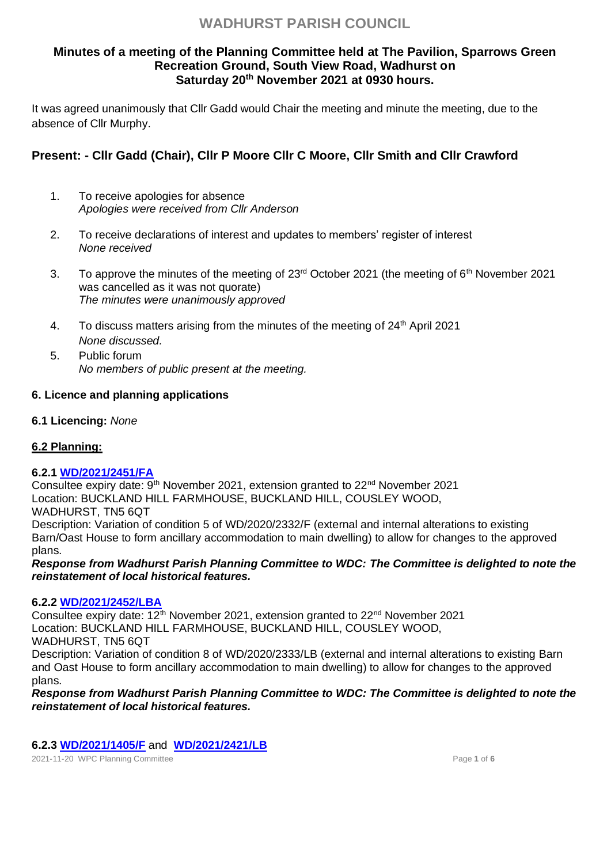# **Minutes of a meeting of the Planning Committee held at The Pavilion, Sparrows Green Recreation Ground, South View Road, Wadhurst on Saturday 20th November 2021 at 0930 hours.**

It was agreed unanimously that Cllr Gadd would Chair the meeting and minute the meeting, due to the absence of Cllr Murphy.

# **Present: - Cllr Gadd (Chair), Cllr P Moore Cllr C Moore, Cllr Smith and Cllr Crawford**

- 1. To receive apologies for absence *Apologies were received from Cllr Anderson*
- 2. To receive declarations of interest and updates to members' register of interest *None received*
- 3. To approve the minutes of the meeting of 23<sup>rd</sup> October 2021 (the meeting of 6<sup>th</sup> November 2021 was cancelled as it was not quorate) *The minutes were unanimously approved*
- 4. To discuss matters arising from the minutes of the meeting of 24<sup>th</sup> April 2021 *None discussed.*
- 5. Public forum *No members of public present at the meeting.*

# **6. Licence and planning applications**

**6.1 Licencing:** *None*

# **6.2 Planning:**

# **6.2.1 [WD/2021/2451/FA](http://planning.wealden.gov.uk/plandisp.aspx?recno=155542)**

Consultee expiry date:  $9<sup>th</sup>$  November 2021, extension granted to 22<sup>nd</sup> November 2021 Location: BUCKLAND HILL FARMHOUSE, BUCKLAND HILL, COUSLEY WOOD, WADHURST, TN5 6QT Description: Variation of condition 5 of WD/2020/2332/F (external and internal alterations to existing Barn/Oast House to form ancillary accommodation to main dwelling) to allow for changes to the approved plans.

*Response from Wadhurst Parish Planning Committee to WDC: The Committee is delighted to note the reinstatement of local historical features.*

# **6.2.2 [WD/2021/2452/LBA](http://planning.wealden.gov.uk/plandisp.aspx?recno=155543)**

Consultee expiry date:  $12<sup>th</sup>$  November 2021, extension granted to  $22<sup>nd</sup>$  November 2021 Location: BUCKLAND HILL FARMHOUSE, BUCKLAND HILL, COUSLEY WOOD, WADHURST, TN5 6QT Description: Variation of condition 8 of WD/2020/2333/LB (external and internal alterations to existing Barn and Oast House to form ancillary accommodation to main dwelling) to allow for changes to the approved plans.

*Response from Wadhurst Parish Planning Committee to WDC: The Committee is delighted to note the reinstatement of local historical features.*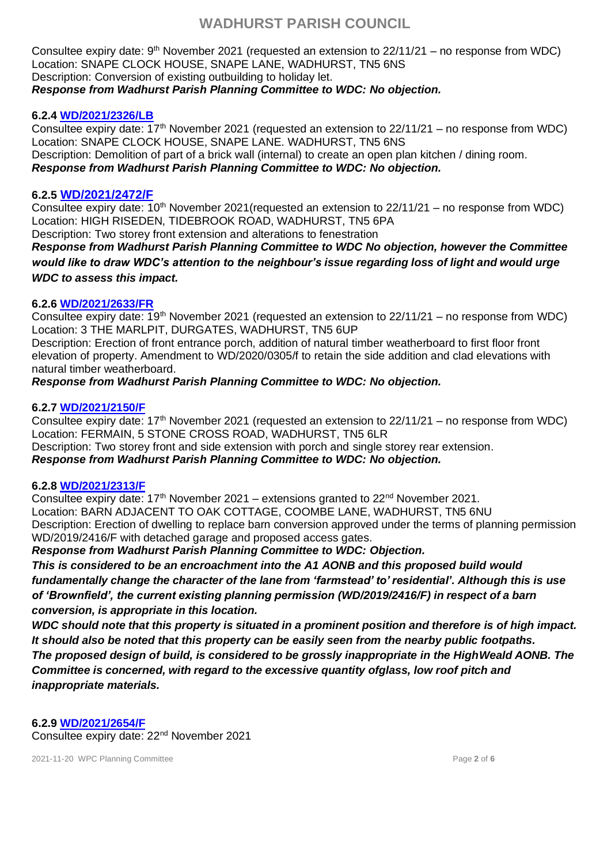Consultee expiry date:  $9<sup>th</sup>$  November 2021 (requested an extension to 22/11/21 – no response from WDC) Location: SNAPE CLOCK HOUSE, SNAPE LANE, WADHURST, TN5 6NS Description: Conversion of existing outbuilding to holiday let. *Response from Wadhurst Parish Planning Committee to WDC: No objection.*

## **6.2.4 [WD/2021/2326/LB](http://planning.wealden.gov.uk/plandisp.aspx?recno=155391)**

Consultee expiry date:  $17<sup>th</sup>$  November 2021 (requested an extension to 22/11/21 – no response from WDC) Location: SNAPE CLOCK HOUSE, SNAPE LANE. WADHURST, TN5 6NS Description: Demolition of part of a brick wall (internal) to create an open plan kitchen / dining room. *Response from Wadhurst Parish Planning Committee to WDC: No objection.*

### **6.2.5 [WD/2021/2472/F](http://planning.wealden.gov.uk/plandisp.aspx?recno=155569)**

Consultee expiry date:  $10^{th}$  November 2021(requested an extension to 22/11/21 – no response from WDC) Location: HIGH RISEDEN, TIDEBROOK ROAD, WADHURST, TN5 6PA

Description: Two storey front extension and alterations to fenestration

*Response from Wadhurst Parish Planning Committee to WDC No objection, however the Committee would like to draw WDC's attention to the neighbour's issue regarding loss of light and would urge WDC to assess this impact.*

# **6.2.6 [WD/2021/2633/FR](http://planning.wealden.gov.uk/plandisp.aspx?recno=155769)**

Consultee expiry date: 19th November 2021 (requested an extension to 22/11/21 – no response from WDC) Location: 3 THE MARLPIT, DURGATES, WADHURST, TN5 6UP

Description: Erection of front entrance porch, addition of natural timber weatherboard to first floor front elevation of property. Amendment to WD/2020/0305/f to retain the side addition and clad elevations with natural timber weatherboard.

*Response from Wadhurst Parish Planning Committee to WDC: No objection.*

# **6.2.7 [WD/2021/2150/F](http://planning.wealden.gov.uk/plandisp.aspx?recno=155164)**

Consultee expiry date:  $17<sup>th</sup>$  November 2021 (requested an extension to 22/11/21 – no response from WDC) Location: FERMAIN, 5 STONE CROSS ROAD, WADHURST, TN5 6LR Description: Two storey front and side extension with porch and single storey rear extension.

*Response from Wadhurst Parish Planning Committee to WDC: No objection.*

### **6.2.8 [WD/2021/2313/F](http://planning.wealden.gov.uk/plandisp.aspx?recno=155377)**

Consultee expiry date:  $17<sup>th</sup>$  November 2021 – extensions granted to  $22<sup>nd</sup>$  November 2021. Location: BARN ADJACENT TO OAK COTTAGE, COOMBE LANE, WADHURST, TN5 6NU Description: Erection of dwelling to replace barn conversion approved under the terms of planning permission WD/2019/2416/F with detached garage and proposed access gates.

*Response from Wadhurst Parish Planning Committee to WDC: Objection.* 

*This is considered to be an encroachment into the A1 AONB and this proposed build would fundamentally change the character of the lane from 'farmstead' to' residential'. Although this is use of 'Brownfield', the current existing planning permission (WD/2019/2416/F) in respect of a barn conversion, is appropriate in this location.*

*WDC should note that this property is situated in a prominent position and therefore is of high impact. It should also be noted that this property can be easily seen from the nearby public footpaths. The proposed design of build, is considered to be grossly inappropriate in the HighWeald AONB. The Committee is concerned, with regard to the excessive quantity ofglass, low roof pitch and inappropriate materials.*

### **6.2.9 [WD/2021/2654/F](http://planning.wealden.gov.uk/plandisp.aspx?recno=155793)**

Consultee expiry date: 22nd November 2021

2021-11-20 WPC Planning Committee Page **2** of **6**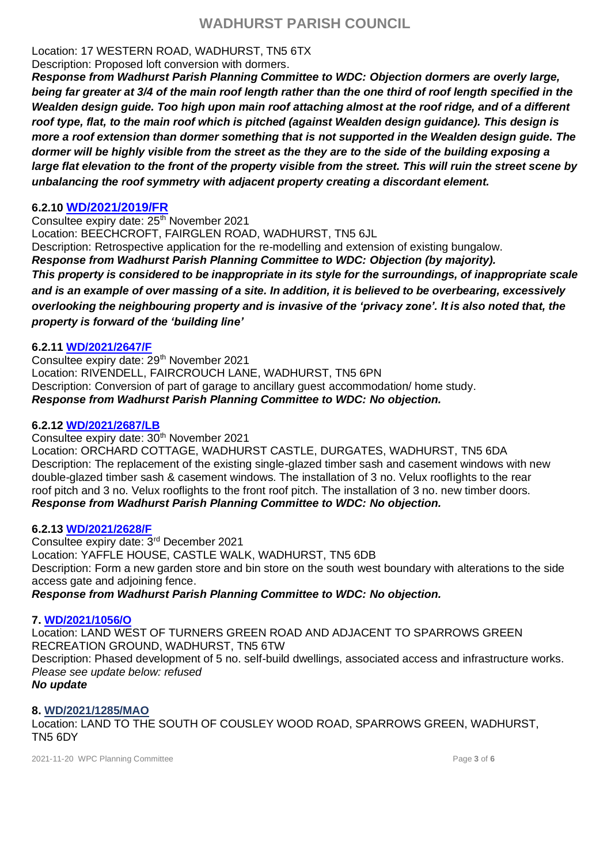# Location: 17 WESTERN ROAD, WADHURST, TN5 6TX

Description: Proposed loft conversion with dormers.

*Response from Wadhurst Parish Planning Committee to WDC: Objection dormers are overly large, being far greater at 3/4 of the main roof length rather than the one third of roof length specified in the Wealden design guide. Too high upon main roof attaching almost at the roof ridge, and of a different roof type, flat, to the main roof which is pitched (against Wealden design guidance). This design is more a roof extension than dormer something that is not supported in the Wealden design guide. The dormer will be highly visible from the street as the they are to the side of the building exposing a large flat elevation to the front of the property visible from the street. This will ruin the street scene by unbalancing the roof symmetry with adjacent property creating a discordant element.*

# **6.2.10 [WD/2021/2019/FR](http://planning.wealden.gov.uk/plandisp.aspx?recno=155019)**

Consultee expiry date: 25<sup>th</sup> November 2021 Location: BEECHCROFT, FAIRGLEN ROAD, WADHURST, TN5 6JL Description: Retrospective application for the re-modelling and extension of existing bungalow. *Response from Wadhurst Parish Planning Committee to WDC: Objection (by majority). This property is considered to be inappropriate in its style for the surroundings, of inappropriate scale* and is an example of over massing of a site. In addition, it is believed to be overbearing, excessively *overlooking the neighbouring property and is invasive of the 'privacy zone'. It is also noted that, the property is forward of the 'building line'*

# **6.2.11 [WD/2021/2647/F](http://planning.wealden.gov.uk/plandisp.aspx?recno=155786)**

Consultee expiry date: 29<sup>th</sup> November 2021 Location: RIVENDELL, FAIRCROUCH LANE, WADHURST, TN5 6PN Description: Conversion of part of garage to ancillary guest accommodation/ home study. *Response from Wadhurst Parish Planning Committee to WDC: No objection.*

## **6.2.12 [WD/2021/2687/LB](http://planning.wealden.gov.uk/plandisp.aspx?recno=155838)**

Consultee expiry date: 30<sup>th</sup> November 2021 Location: ORCHARD COTTAGE, WADHURST CASTLE, DURGATES, WADHURST, TN5 6DA Description: The replacement of the existing single-glazed timber sash and casement windows with new double-glazed timber sash & casement windows. The installation of 3 no. Velux rooflights to the rear roof pitch and 3 no. Velux rooflights to the front roof pitch. The installation of 3 no. new timber doors. *Response from Wadhurst Parish Planning Committee to WDC: No objection.*

### **6.2.13 [WD/2021/2628/F](http://planning.wealden.gov.uk/plandisp.aspx?recno=155764)**

Consultee expiry date: 3rd December 2021 Location: YAFFLE HOUSE, CASTLE WALK, WADHURST, TN5 6DB Description: Form a new garden store and bin store on the south west boundary with alterations to the side access gate and adjoining fence. *Response from Wadhurst Parish Planning Committee to WDC: No objection.*

### **7. [WD/2021/1056/O](http://planning.wealden.gov.uk/plandisp.aspx?recno=153805)**

Location: LAND WEST OF TURNERS GREEN ROAD AND ADJACENT TO SPARROWS GREEN RECREATION GROUND, WADHURST, TN5 6TW Description: Phased development of 5 no. self-build dwellings, associated access and infrastructure works. *Please see update below: refused No update*

# **8. [WD/2021/1285/MAO](http://planning.wealden.gov.uk/plandisp.aspx?recno=154095)**

Location: LAND TO THE SOUTH OF COUSLEY WOOD ROAD, SPARROWS GREEN, WADHURST, TN5 6DY

2021-11-20 WPC Planning Committee Page **3** of **6**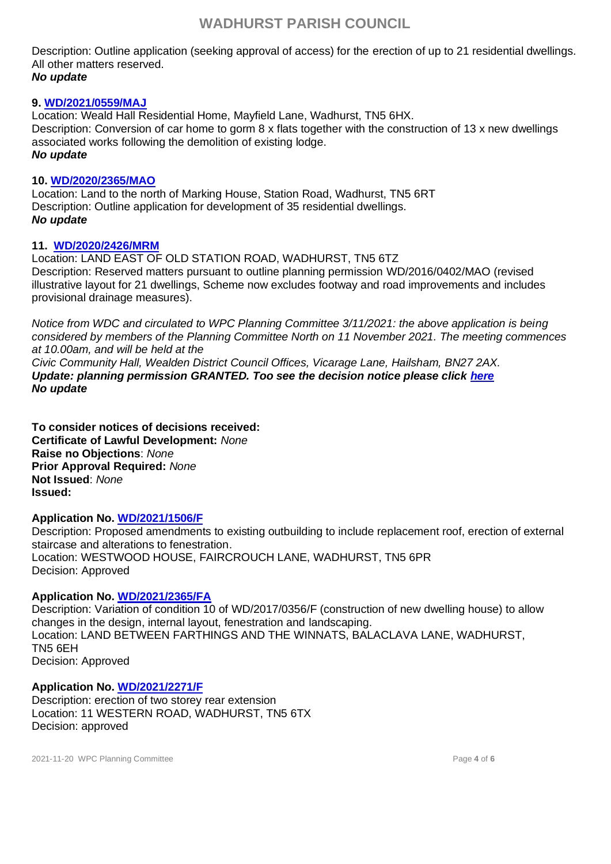Description: Outline application (seeking approval of access) for the erection of up to 21 residential dwellings. All other matters reserved. *No update*

### **9. [WD/2021/0559/MAJ](https://planning.wealden.gov.uk/plandisp.aspx?recno=153161)**

Location: Weald Hall Residential Home, Mayfield Lane, Wadhurst, TN5 6HX. Description: Conversion of car home to gorm 8 x flats together with the construction of 13 x new dwellings associated works following the demolition of existing lodge. *No update*

#### **10. [WD/2020/2365/MAO](https://planning.wealden.gov.uk/plandisp.aspx?recno=151901)**

Location: Land to the north of Marking House, Station Road, Wadhurst, TN5 6RT Description: Outline application for development of 35 residential dwellings. *No update*

#### **11. [WD/2020/2426/MRM](http://planning.wealden.gov.uk/plandisp.aspx?recno=151989)**

Location: LAND EAST OF OLD STATION ROAD, WADHURST, TN5 6TZ Description: Reserved matters pursuant to outline planning permission WD/2016/0402/MAO (revised illustrative layout for 21 dwellings, Scheme now excludes footway and road improvements and includes provisional drainage measures).

*Notice from WDC and circulated to WPC Planning Committee 3/11/2021: the above application is being considered by members of the Planning Committee North on 11 November 2021. The meeting commences at 10.00am, and will be held at the Civic Community Hall, Wealden District Council Offices, Vicarage Lane, Hailsham, BN27 2AX.*

*Update: planning permission GRANTED. Too see the decision notice please click [here](file:///C:/Users/Fiona.000/Downloads/WD-2020-2426-MRM_Decision%20Information_Decision%20Notice_WD20202426MRM.pdf) No update*

**To consider notices of decisions received: Certificate of Lawful Development:** *None* **Raise no Objections**: *None* **Prior Approval Required:** *None* **Not Issued**: *None* **Issued:** 

#### **Application No. [WD/2021/1506/F](http://planning.wealden.gov.uk/plandisp.aspx?recno=154368)**

Description: Proposed amendments to existing outbuilding to include replacement roof, erection of external staircase and alterations to fenestration. Location: WESTWOOD HOUSE, FAIRCROUCH LANE, WADHURST, TN5 6PR Decision: Approved

### **Application No. [WD/2021/2365/FA](http://planning.wealden.gov.uk/plandisp.aspx?recno=155440)**

Description: Variation of condition 10 of WD/2017/0356/F (construction of new dwelling house) to allow changes in the design, internal layout, fenestration and landscaping. Location: LAND BETWEEN FARTHINGS AND THE WINNATS, BALACLAVA LANE, WADHURST, TN5 6EH Decision: Approved

### **Application No. [WD/2021/2271/F](http://planning.wealden.gov.uk/plandisp.aspx?recno=155322)**

Description: erection of two storey rear extension Location: 11 WESTERN ROAD, WADHURST, TN5 6TX Decision: approved

2021-11-20 WPC Planning Committee Page **4** of **6**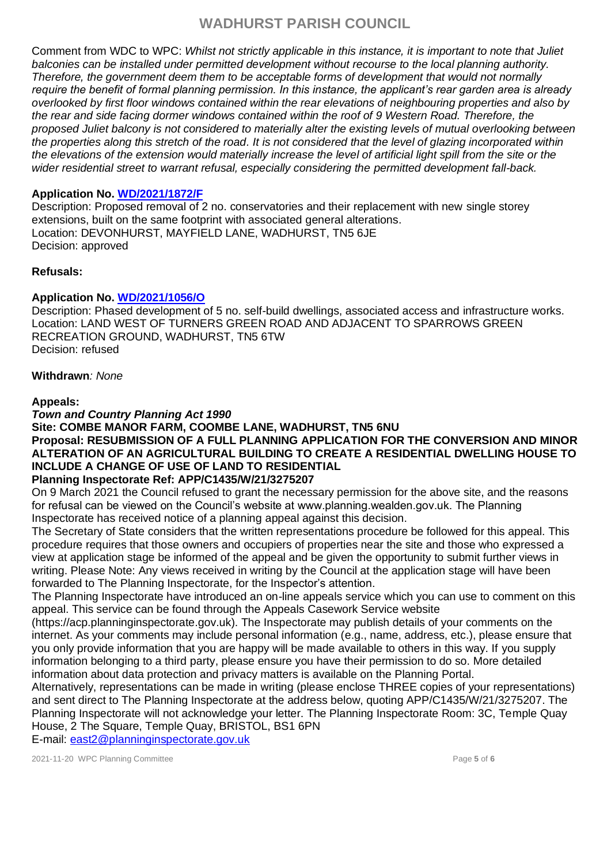Comment from WDC to WPC: *Whilst not strictly applicable in this instance, it is important to note that Juliet balconies can be installed under permitted development without recourse to the local planning authority. Therefore, the government deem them to be acceptable forms of development that would not normally require the benefit of formal planning permission. In this instance, the applicant's rear garden area is already overlooked by first floor windows contained within the rear elevations of neighbouring properties and also by the rear and side facing dormer windows contained within the roof of 9 Western Road. Therefore, the proposed Juliet balcony is not considered to materially alter the existing levels of mutual overlooking between the properties along this stretch of the road. It is not considered that the level of glazing incorporated within the elevations of the extension would materially increase the level of artificial light spill from the site or the wider residential street to warrant refusal, especially considering the permitted development fall-back.*

# **Application No. [WD/2021/1872/F](http://planning.wealden.gov.uk/plandisp.aspx?recno=154832)**

Description: Proposed removal of 2 no. conservatories and their replacement with new single storey extensions, built on the same footprint with associated general alterations. Location: DEVONHURST, MAYFIELD LANE, WADHURST, TN5 6JE Decision: approved

### **Refusals:**

# **Application No. [WD/2021/1056/O](http://planning.wealden.gov.uk/plandisp.aspx?recno=153805)**

Description: Phased development of 5 no. self-build dwellings, associated access and infrastructure works. Location: LAND WEST OF TURNERS GREEN ROAD AND ADJACENT TO SPARROWS GREEN RECREATION GROUND, WADHURST, TN5 6TW Decision: refused

#### **Withdrawn***: None*

### **Appeals:**

*Town and Country Planning Act 1990* 

# **Site: COMBE MANOR FARM, COOMBE LANE, WADHURST, TN5 6NU Proposal: RESUBMISSION OF A FULL PLANNING APPLICATION FOR THE CONVERSION AND MINOR ALTERATION OF AN AGRICULTURAL BUILDING TO CREATE A RESIDENTIAL DWELLING HOUSE TO INCLUDE A CHANGE OF USE OF LAND TO RESIDENTIAL**

# **Planning Inspectorate Ref: APP/C1435/W/21/3275207**

On 9 March 2021 the Council refused to grant the necessary permission for the above site, and the reasons for refusal can be viewed on the Council's website at www.planning.wealden.gov.uk. The Planning Inspectorate has received notice of a planning appeal against this decision.

The Secretary of State considers that the written representations procedure be followed for this appeal. This procedure requires that those owners and occupiers of properties near the site and those who expressed a view at application stage be informed of the appeal and be given the opportunity to submit further views in writing. Please Note: Any views received in writing by the Council at the application stage will have been forwarded to The Planning Inspectorate, for the Inspector's attention.

The Planning Inspectorate have introduced an on-line appeals service which you can use to comment on this appeal. This service can be found through the Appeals Casework Service website

(https://acp.planninginspectorate.gov.uk). The Inspectorate may publish details of your comments on the internet. As your comments may include personal information (e.g., name, address, etc.), please ensure that you only provide information that you are happy will be made available to others in this way. If you supply information belonging to a third party, please ensure you have their permission to do so. More detailed information about data protection and privacy matters is available on the Planning Portal.

Alternatively, representations can be made in writing (please enclose THREE copies of your representations) and sent direct to The Planning Inspectorate at the address below, quoting APP/C1435/W/21/3275207. The Planning Inspectorate will not acknowledge your letter. The Planning Inspectorate Room: 3C, Temple Quay House, 2 The Square, Temple Quay, BRISTOL, BS1 6PN

E-mail: [east2@planninginspectorate.gov.uk](mailto:east2@planninginspectorate.gov.uk)